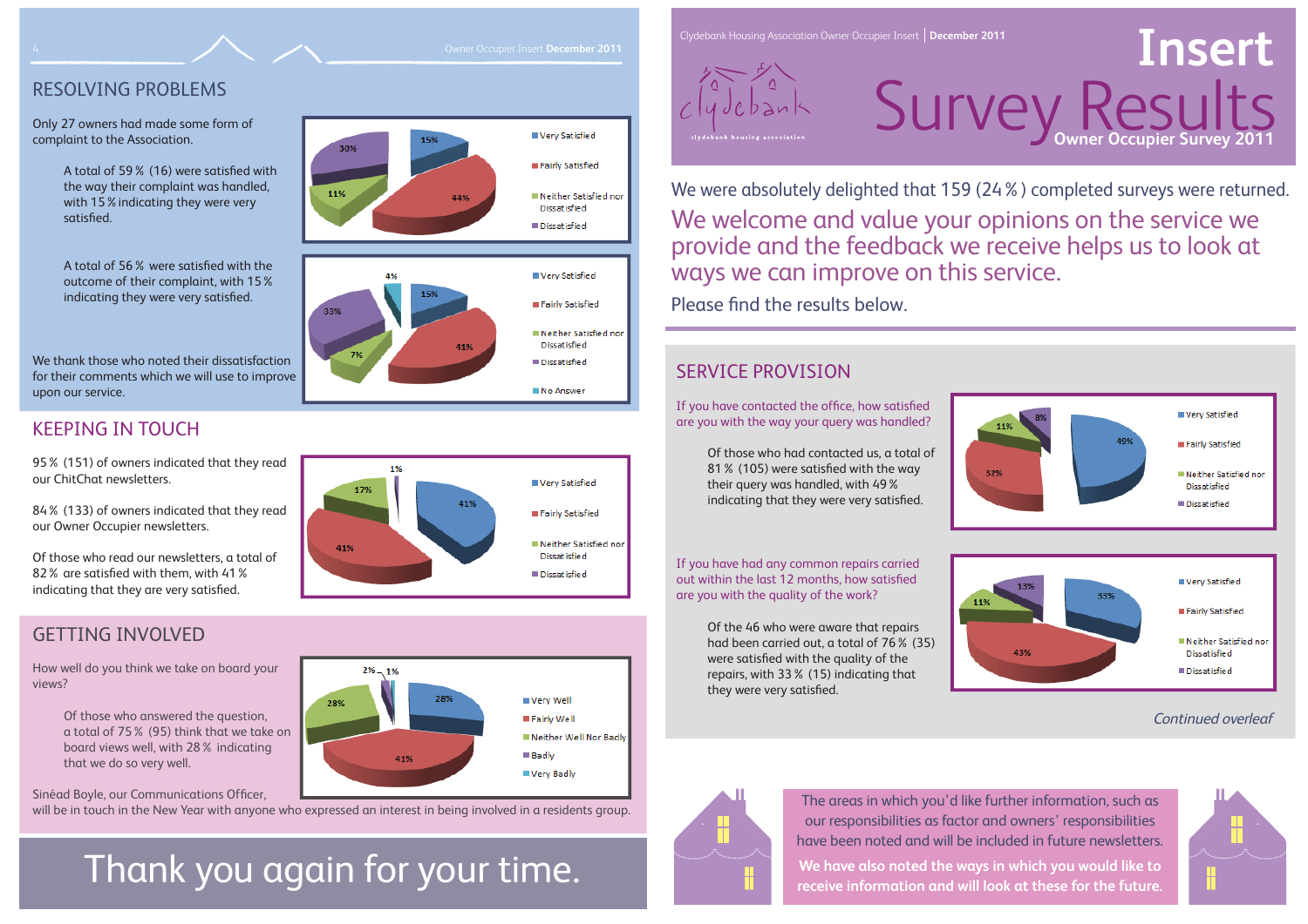## SERVICE PROVISION

If you have contacted the office, how satisfied are you with the way your query was handled?

> Of those who had contacted us, a total of 81% (105) were satisfied with the way their query was handled, with 49% indicating that they were very satisfied.



Of the 46 who were aware that repairs had been carried out, a total of 76% (35) were satisfied with the quality of the repairs, with 33% (15) indicating that they were very satisfied.



# Survey Results Owner Occupier Insert December 2011<br> **Insert December 2011 Insert December 2011 Insert Peace of Construction Owner Occupier Insert | December 2011**

We were absolutely delighted that 159 (24%) completed surveys were returned. We welcome and value your opinions on the service we provide and the feedback we receive helps us to look at ways we can improve on this service. Please find the results below.

If you have had any common repairs carried out within the last 12 months, how satisfied are you with the quality of the work?

Clydebank Housing Association Owner Occupier Insert **December 2011**



Of those who read our newsletters, a total of 82% are satisfied with them, with 41% indicating that they are very satisfied.

## RESOLVING PROBLEMS

Only 27 owners had made some form of complaint to the Association.

> A total of 59% (16) were satisfied with the way their complaint was handled, with 15%indicating they were very satisfied.

A total of 56% were satisfied with the outcome of their complaint, with 15% indicating they were very satisfied.

We thank those who noted their dissatisfactionfor their comments which we will use to improve upon our service.

## KEEPING IN TOUCH

95% (151) of owners indicated that they read our ChitChat newsletters.

84% (133) of owners indicated that they read our Owner Occupier newsletters.

## GETTING INVOLVED

How well do you think we take on board your views?

> Of those who answered the question, a total of 75% (95) think that we take on board views well, with 28% indicating that we do so very well.

Sinéad Boyle, our Communications Officer,

will be in touch in the New Year with anyone who expressed an interest in being involved in a residents group.

## Thank you again for your time.









The areas in which you'd like further information, such as our responsibilities as factor and owners' responsibilities have been noted and will be included in future newsletters.

**We have also noted the ways in which you would like to receive information and will look at these for the future.**



## Continued overleaf